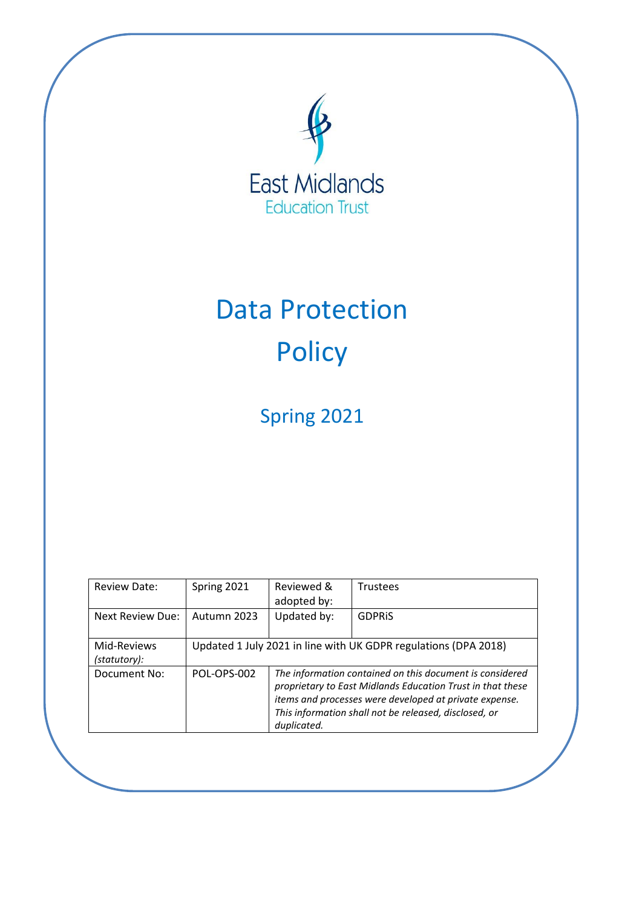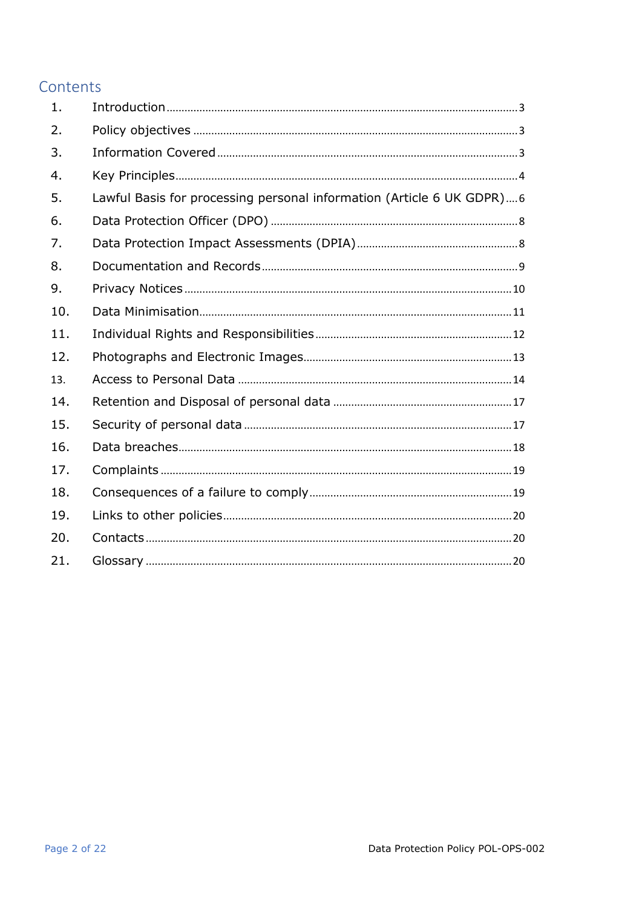# Contents

| 1.  |                                                                       |
|-----|-----------------------------------------------------------------------|
| 2.  |                                                                       |
| 3.  |                                                                       |
| 4.  |                                                                       |
| 5.  | Lawful Basis for processing personal information (Article 6 UK GDPR)6 |
| 6.  |                                                                       |
| 7.  |                                                                       |
| 8.  |                                                                       |
| 9.  |                                                                       |
| 10. |                                                                       |
| 11. |                                                                       |
| 12. |                                                                       |
| 13. |                                                                       |
| 14. |                                                                       |
| 15. |                                                                       |
| 16. |                                                                       |
| 17. |                                                                       |
| 18. |                                                                       |
| 19. |                                                                       |
| 20. |                                                                       |
| 21. |                                                                       |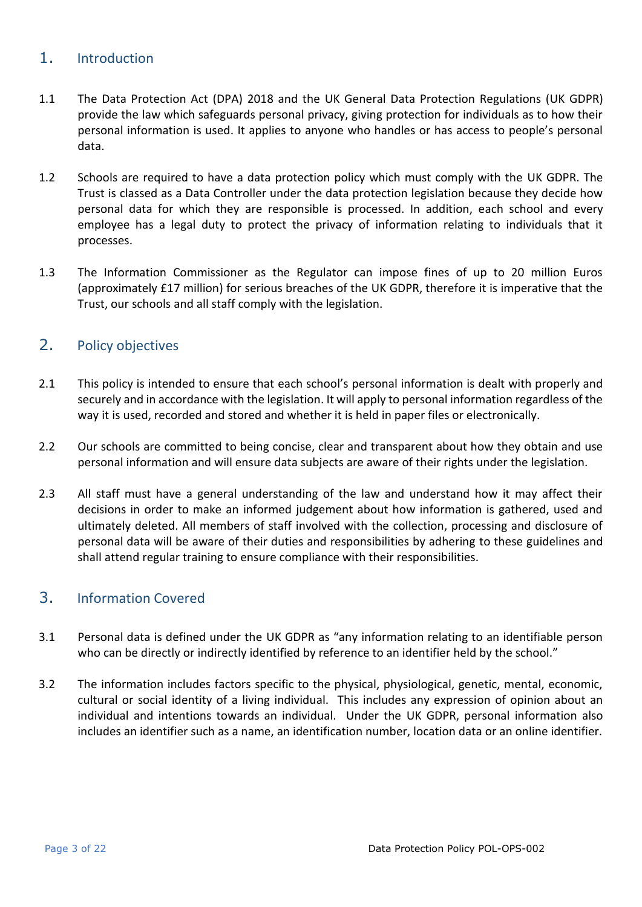# <span id="page-2-0"></span>1. Introduction

- 1.1 The Data Protection Act (DPA) 2018 and the UK General Data Protection Regulations (UK GDPR) provide the law which safeguards personal privacy, giving protection for individuals as to how their personal information is used. It applies to anyone who handles or has access to people's personal data.
- 1.2 Schools are required to have a data protection policy which must comply with the UK GDPR. The Trust is classed as a Data Controller under the data protection legislation because they decide how personal data for which they are responsible is processed. In addition, each school and every employee has a legal duty to protect the privacy of information relating to individuals that it processes.
- 1.3 The Information Commissioner as the Regulator can impose fines of up to 20 million Euros (approximately £17 million) for serious breaches of the UK GDPR, therefore it is imperative that the Trust, our schools and all staff comply with the legislation.

# <span id="page-2-1"></span>2. Policy objectives

- 2.1 This policy is intended to ensure that each school's personal information is dealt with properly and securely and in accordance with the legislation. It will apply to personal information regardless of the way it is used, recorded and stored and whether it is held in paper files or electronically.
- 2.2 Our schools are committed to being concise, clear and transparent about how they obtain and use personal information and will ensure data subjects are aware of their rights under the legislation.
- 2.3 All staff must have a general understanding of the law and understand how it may affect their decisions in order to make an informed judgement about how information is gathered, used and ultimately deleted. All members of staff involved with the collection, processing and disclosure of personal data will be aware of their duties and responsibilities by adhering to these guidelines and shall attend regular training to ensure compliance with their responsibilities.

# <span id="page-2-2"></span>3. Information Covered

- 3.1 Personal data is defined under the UK GDPR as "any information relating to an identifiable person who can be directly or indirectly identified by reference to an identifier held by the school."
- 3.2 The information includes factors specific to the physical, physiological, genetic, mental, economic, cultural or social identity of a living individual. This includes any expression of opinion about an individual and intentions towards an individual. Under the UK GDPR, personal information also includes an identifier such as a name, an identification number, location data or an online identifier.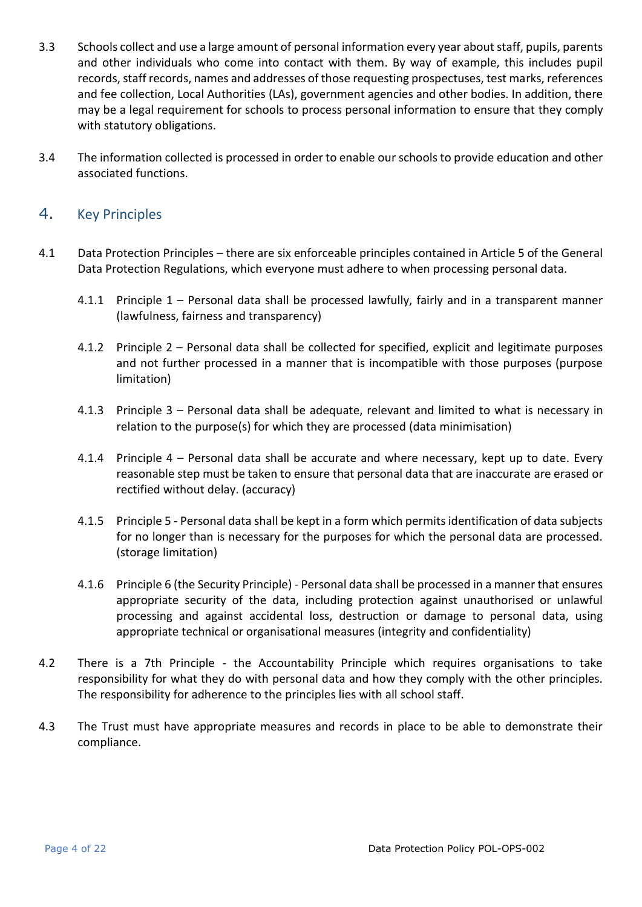- 3.3 Schools collect and use a large amount of personal information every year about staff, pupils, parents and other individuals who come into contact with them. By way of example, this includes pupil records, staff records, names and addresses of those requesting prospectuses, test marks, references and fee collection, Local Authorities (LAs), government agencies and other bodies. In addition, there may be a legal requirement for schools to process personal information to ensure that they comply with statutory obligations.
- 3.4 The information collected is processed in order to enable our schools to provide education and other associated functions.

### <span id="page-3-0"></span>4. Key Principles

- 4.1 Data Protection Principles there are six enforceable principles contained in Article 5 of the General Data Protection Regulations, which everyone must adhere to when processing personal data.
	- 4.1.1 Principle 1 Personal data shall be processed lawfully, fairly and in a transparent manner (lawfulness, fairness and transparency)
	- 4.1.2 Principle 2 Personal data shall be collected for specified, explicit and legitimate purposes and not further processed in a manner that is incompatible with those purposes (purpose limitation)
	- 4.1.3 Principle 3 Personal data shall be adequate, relevant and limited to what is necessary in relation to the purpose(s) for which they are processed (data minimisation)
	- 4.1.4 Principle 4 Personal data shall be accurate and where necessary, kept up to date. Every reasonable step must be taken to ensure that personal data that are inaccurate are erased or rectified without delay. (accuracy)
	- 4.1.5 Principle 5 Personal data shall be kept in a form which permits identification of data subjects for no longer than is necessary for the purposes for which the personal data are processed. (storage limitation)
	- 4.1.6 Principle 6 (the Security Principle) Personal data shall be processed in a manner that ensures appropriate security of the data, including protection against unauthorised or unlawful processing and against accidental loss, destruction or damage to personal data, using appropriate technical or organisational measures (integrity and confidentiality)
- 4.2 There is a 7th Principle the Accountability Principle which requires organisations to take responsibility for what they do with personal data and how they comply with the other principles. The responsibility for adherence to the principles lies with all school staff.
- 4.3 The Trust must have appropriate measures and records in place to be able to demonstrate their compliance.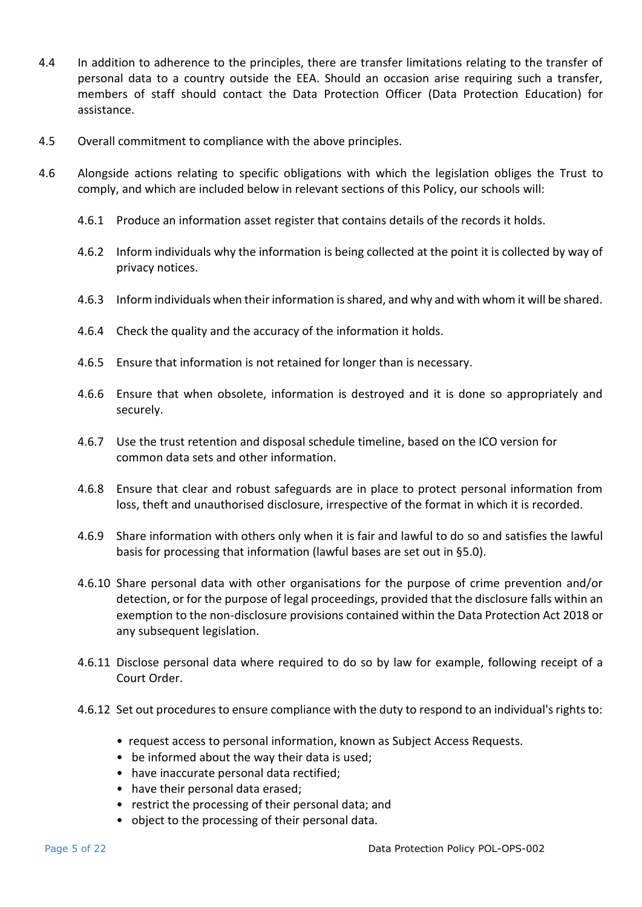- 4.4 In addition to adherence to the principles, there are transfer limitations relating to the transfer of personal data to a country outside the EEA. Should an occasion arise requiring such a transfer, members of staff should contact the Data Protection Officer (Data Protection Education) for assistance.
- 4.5 Overall commitment to compliance with the above principles.
- 4.6 Alongside actions relating to specific obligations with which the legislation obliges the Trust to comply, and which are included below in relevant sections of this Policy, our schools will:
	- 4.6.1 Produce an information asset register that contains details of the records it holds.
	- 4.6.2 Inform individuals why the information is being collected at the point it is collected by way of privacy notices.
	- 4.6.3 Inform individuals when their information is shared, and why and with whom it will be shared.
	- 4.6.4 Check the quality and the accuracy of the information it holds.
	- 4.6.5 Ensure that information is not retained for longer than is necessary.
	- 4.6.6 Ensure that when obsolete, information is destroyed and it is done so appropriately and securely.
	- 4.6.7 Use the trust retention and disposal schedule timeline, based on the ICO version for common data sets and other information.
	- 4.6.8 Ensure that clear and robust safeguards are in place to protect personal information from loss, theft and unauthorised disclosure, irrespective of the format in which it is recorded.
	- 4.6.9 Share information with others only when it is fair and lawful to do so and satisfies the lawful basis for processing that information (lawful bases are set out in §5.0).
	- 4.6.10 Share personal data with other organisations for the purpose of crime prevention and/or detection, or for the purpose of legal proceedings, provided that the disclosure falls within an exemption to the non-disclosure provisions contained within the Data Protection Act 2018 or any subsequent legislation.
	- 4.6.11 Disclose personal data where required to do so by law for example, following receipt of a Court Order.
	- 4.6.12 Set out procedures to ensure compliance with the duty to respond to an individual's rights to:
		- request access to personal information, known as Subject Access Requests.
		- be informed about the way their data is used;
		- have inaccurate personal data rectified;
		- have their personal data erased;
		- restrict the processing of their personal data; and
		- object to the processing of their personal data.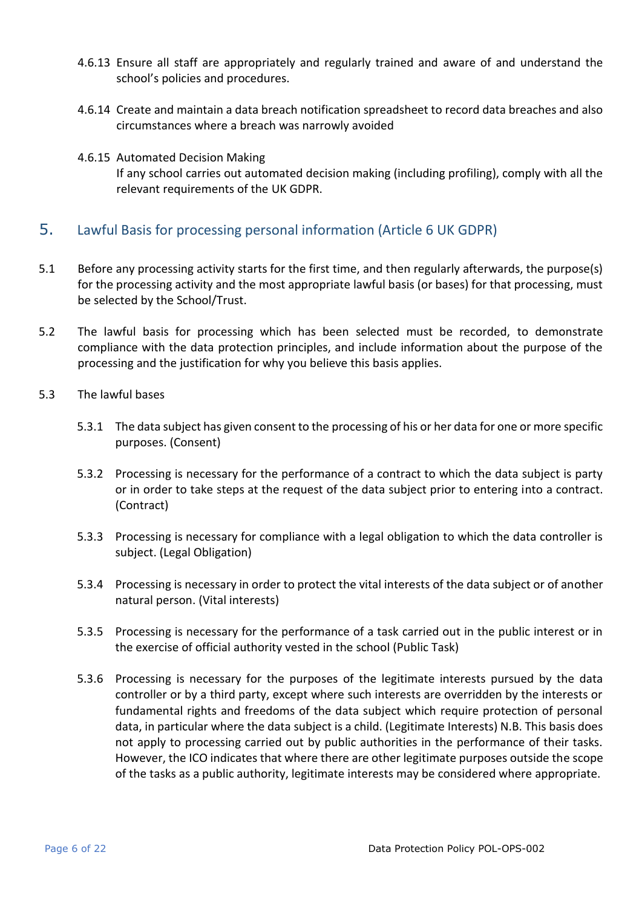- 4.6.13 Ensure all staff are appropriately and regularly trained and aware of and understand the school's policies and procedures.
- 4.6.14 Create and maintain a data breach notification spreadsheet to record data breaches and also circumstances where a breach was narrowly avoided
- 4.6.15 Automated Decision Making If any school carries out automated decision making (including profiling), comply with all the relevant requirements of the UK GDPR.

## <span id="page-5-0"></span>5. Lawful Basis for processing personal information (Article 6 UK GDPR)

- 5.1 Before any processing activity starts for the first time, and then regularly afterwards, the purpose(s) for the processing activity and the most appropriate lawful basis (or bases) for that processing, must be selected by the School/Trust.
- 5.2 The lawful basis for processing which has been selected must be recorded, to demonstrate compliance with the data protection principles, and include information about the purpose of the processing and the justification for why you believe this basis applies.
- 5.3 The lawful bases
	- 5.3.1 The data subject has given consent to the processing of his or her data for one or more specific purposes. (Consent)
	- 5.3.2 Processing is necessary for the performance of a contract to which the data subject is party or in order to take steps at the request of the data subject prior to entering into a contract. (Contract)
	- 5.3.3 Processing is necessary for compliance with a legal obligation to which the data controller is subject. (Legal Obligation)
	- 5.3.4 Processing is necessary in order to protect the vital interests of the data subject or of another natural person. (Vital interests)
	- 5.3.5 Processing is necessary for the performance of a task carried out in the public interest or in the exercise of official authority vested in the school (Public Task)
	- 5.3.6 Processing is necessary for the purposes of the legitimate interests pursued by the data controller or by a third party, except where such interests are overridden by the interests or fundamental rights and freedoms of the data subject which require protection of personal data, in particular where the data subject is a child. (Legitimate Interests) N.B. This basis does not apply to processing carried out by public authorities in the performance of their tasks. However, the ICO indicates that where there are other legitimate purposes outside the scope of the tasks as a public authority, legitimate interests may be considered where appropriate.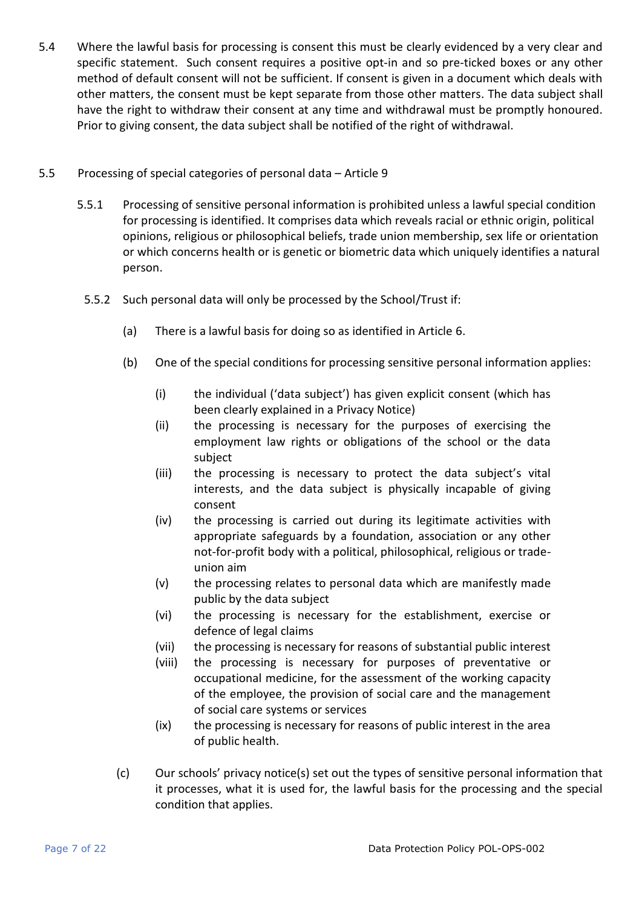5.4 Where the lawful basis for processing is consent this must be clearly evidenced by a very clear and specific statement. Such consent requires a positive opt-in and so pre-ticked boxes or any other method of default consent will not be sufficient. If consent is given in a document which deals with other matters, the consent must be kept separate from those other matters. The data subject shall have the right to withdraw their consent at any time and withdrawal must be promptly honoured. Prior to giving consent, the data subject shall be notified of the right of withdrawal.

#### 5.5 Processing of special categories of personal data – Article 9

- 5.5.1 Processing of sensitive personal information is prohibited unless a lawful special condition for processing is identified. It comprises data which reveals racial or ethnic origin, political opinions, religious or philosophical beliefs, trade union membership, sex life or orientation or which concerns health or is genetic or biometric data which uniquely identifies a natural person.
- 5.5.2 Such personal data will only be processed by the School/Trust if:
	- (a) There is a lawful basis for doing so as identified in Article 6.
	- (b) One of the special conditions for processing sensitive personal information applies:
		- (i) the individual ('data subject') has given explicit consent (which has been clearly explained in a Privacy Notice)
		- (ii) the processing is necessary for the purposes of exercising the employment law rights or obligations of the school or the data subject
		- (iii) the processing is necessary to protect the data subject's vital interests, and the data subject is physically incapable of giving consent
		- (iv) the processing is carried out during its legitimate activities with appropriate safeguards by a foundation, association or any other not-for-profit body with a political, philosophical, religious or tradeunion aim
		- (v) the processing relates to personal data which are manifestly made public by the data subject
		- (vi) the processing is necessary for the establishment, exercise or defence of legal claims
		- (vii) the processing is necessary for reasons of substantial public interest
		- (viii) the processing is necessary for purposes of preventative or occupational medicine, for the assessment of the working capacity of the employee, the provision of social care and the management of social care systems or services
		- (ix) the processing is necessary for reasons of public interest in the area of public health.
	- (c) Our schools' privacy notice(s) set out the types of sensitive personal information that it processes, what it is used for, the lawful basis for the processing and the special condition that applies.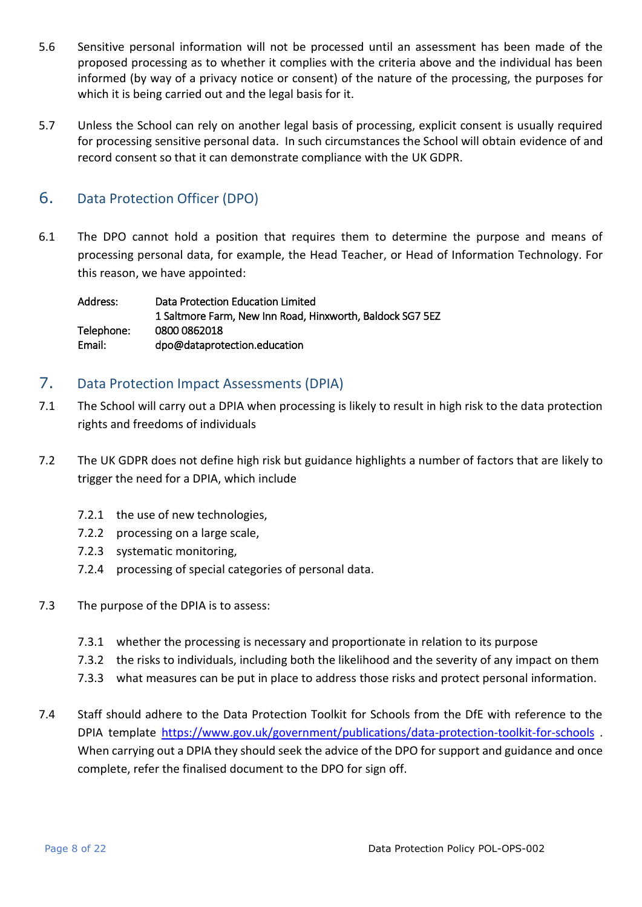- 5.6 Sensitive personal information will not be processed until an assessment has been made of the proposed processing as to whether it complies with the criteria above and the individual has been informed (by way of a privacy notice or consent) of the nature of the processing, the purposes for which it is being carried out and the legal basis for it.
- 5.7 Unless the School can rely on another legal basis of processing, explicit consent is usually required for processing sensitive personal data. In such circumstances the School will obtain evidence of and record consent so that it can demonstrate compliance with the UK GDPR.

## <span id="page-7-0"></span>6. Data Protection Officer (DPO)

6.1 The DPO cannot hold a position that requires them to determine the purpose and means of processing personal data, for example, the Head Teacher, or Head of Information Technology. For this reason, we have appointed:

Address: Data Protection Education Limited 1 Saltmore Farm, New Inn Road, Hinxworth, Baldock SG7 5EZ Telephone: 0800 0862018 Email: dpo@dataprotection.education

## <span id="page-7-1"></span>7. Data Protection Impact Assessments (DPIA)

- 7.1 The School will carry out a DPIA when processing is likely to result in high risk to the data protection rights and freedoms of individuals
- 7.2 The UK GDPR does not define high risk but guidance highlights a number of factors that are likely to trigger the need for a DPIA, which include
	- 7.2.1 the use of new technologies,
	- 7.2.2 processing on a large scale,
	- 7.2.3 systematic monitoring,
	- 7.2.4 processing of special categories of personal data.
- 7.3 The purpose of the DPIA is to assess:
	- 7.3.1 whether the processing is necessary and proportionate in relation to its purpose
	- 7.3.2 the risks to individuals, including both the likelihood and the severity of any impact on them
	- 7.3.3 what measures can be put in place to address those risks and protect personal information.
- 7.4 Staff should adhere to the Data Protection Toolkit for Schools from the DfE with reference to the DPIA template <https://www.gov.uk/government/publications/data-protection-toolkit-for-schools> . When carrying out a DPIA they should seek the advice of the DPO for support and guidance and once complete, refer the finalised document to the DPO for sign off.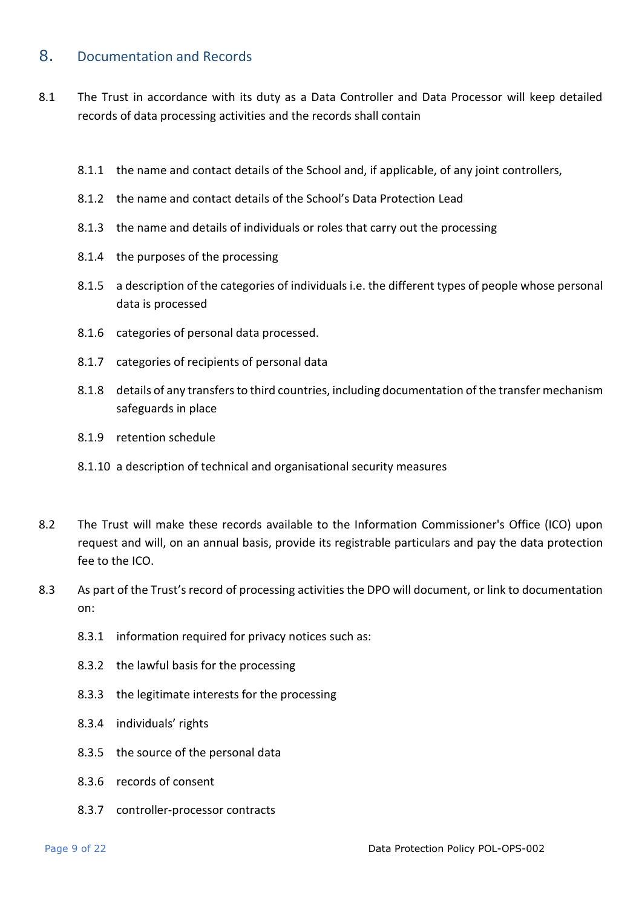## <span id="page-8-0"></span>8. Documentation and Records

- 8.1 The Trust in accordance with its duty as a Data Controller and Data Processor will keep detailed records of data processing activities and the records shall contain
	- 8.1.1 the name and contact details of the School and, if applicable, of any joint controllers,
	- 8.1.2 the name and contact details of the School's Data Protection Lead
	- 8.1.3 the name and details of individuals or roles that carry out the processing
	- 8.1.4 the purposes of the processing
	- 8.1.5 a description of the categories of individuals i.e. the different types of people whose personal data is processed
	- 8.1.6 categories of personal data processed.
	- 8.1.7 categories of recipients of personal data
	- 8.1.8 details of any transfers to third countries, including documentation of the transfer mechanism safeguards in place
	- 8.1.9 retention schedule
	- 8.1.10 a description of technical and organisational security measures
- 8.2 The Trust will make these records available to the Information Commissioner's Office (ICO) upon request and will, on an annual basis, provide its registrable particulars and pay the data protection fee to the ICO.
- 8.3 As part of the Trust's record of processing activities the DPO will document, or link to documentation on:
	- 8.3.1 information required for privacy notices such as:
	- 8.3.2 the lawful basis for the processing
	- 8.3.3 the legitimate interests for the processing
	- 8.3.4 individuals' rights
	- 8.3.5 the source of the personal data
	- 8.3.6 records of consent
	- 8.3.7 controller-processor contracts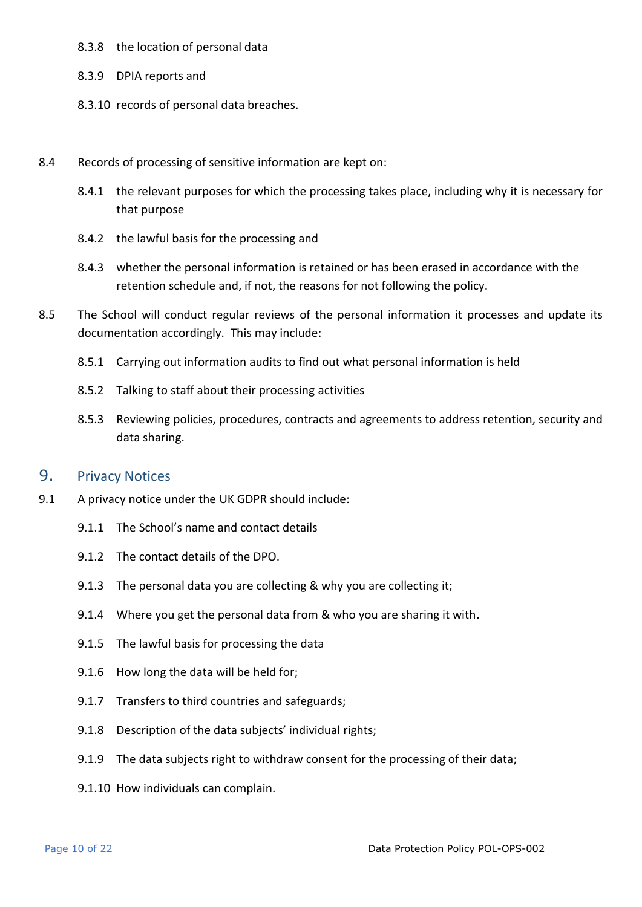#### 8.3.8 the location of personal data

- 8.3.9 DPIA reports and
- 8.3.10 records of personal data breaches.
- 8.4 Records of processing of sensitive information are kept on:
	- 8.4.1 the relevant purposes for which the processing takes place, including why it is necessary for that purpose
	- 8.4.2 the lawful basis for the processing and
	- 8.4.3 whether the personal information is retained or has been erased in accordance with the retention schedule and, if not, the reasons for not following the policy.
- 8.5 The School will conduct regular reviews of the personal information it processes and update its documentation accordingly. This may include:
	- 8.5.1 Carrying out information audits to find out what personal information is held
	- 8.5.2 Talking to staff about their processing activities
	- 8.5.3 Reviewing policies, procedures, contracts and agreements to address retention, security and data sharing.

#### <span id="page-9-0"></span>9. Privacy Notices

- 9.1 A privacy notice under the UK GDPR should include:
	- 9.1.1 The School's name and contact details
	- 9.1.2 The contact details of the DPO.
	- 9.1.3 The personal data you are collecting & why you are collecting it;
	- 9.1.4 Where you get the personal data from & who you are sharing it with.
	- 9.1.5 The lawful basis for processing the data
	- 9.1.6 How long the data will be held for;
	- 9.1.7 Transfers to third countries and safeguards;
	- 9.1.8 Description of the data subjects' individual rights;
	- 9.1.9 The data subjects right to withdraw consent for the processing of their data;
	- 9.1.10 How individuals can complain.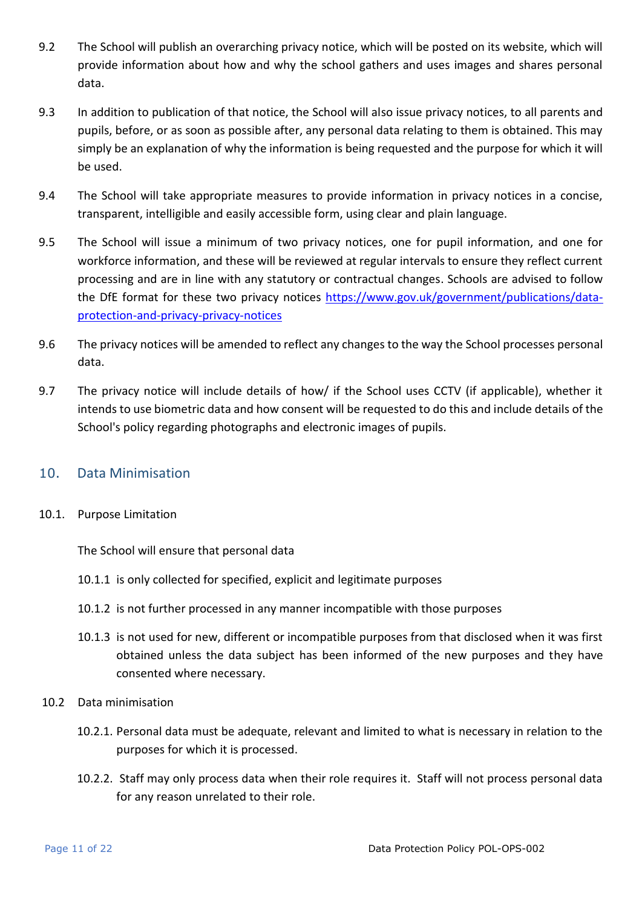- 9.2 The School will publish an overarching privacy notice, which will be posted on its website, which will provide information about how and why the school gathers and uses images and shares personal data.
- 9.3 In addition to publication of that notice, the School will also issue privacy notices, to all parents and pupils, before, or as soon as possible after, any personal data relating to them is obtained. This may simply be an explanation of why the information is being requested and the purpose for which it will be used.
- 9.4 The School will take appropriate measures to provide information in privacy notices in a concise, transparent, intelligible and easily accessible form, using clear and plain language.
- 9.5 The School will issue a minimum of two privacy notices, one for pupil information, and one for workforce information, and these will be reviewed at regular intervals to ensure they reflect current processing and are in line with any statutory or contractual changes. Schools are advised to follow the DfE format for these two privacy notices [https://www.gov.uk/government/publications/data](https://www.gov.uk/government/publications/data-protection-and-privacy-privacy-notices)[protection-and-privacy-privacy-notices](https://www.gov.uk/government/publications/data-protection-and-privacy-privacy-notices)
- 9.6 The privacy notices will be amended to reflect any changes to the way the School processes personal data.
- 9.7 The privacy notice will include details of how/ if the School uses CCTV (if applicable), whether it intends to use biometric data and how consent will be requested to do this and include details of the School's policy regarding photographs and electronic images of pupils.

### <span id="page-10-0"></span>10. Data Minimisation

10.1. Purpose Limitation

The School will ensure that personal data

- 10.1.1 is only collected for specified, explicit and legitimate purposes
- 10.1.2 is not further processed in any manner incompatible with those purposes
- 10.1.3 is not used for new, different or incompatible purposes from that disclosed when it was first obtained unless the data subject has been informed of the new purposes and they have consented where necessary.
- 10.2 Data minimisation
	- 10.2.1. Personal data must be adequate, relevant and limited to what is necessary in relation to the purposes for which it is processed.
	- 10.2.2. Staff may only process data when their role requires it. Staff will not process personal data for any reason unrelated to their role.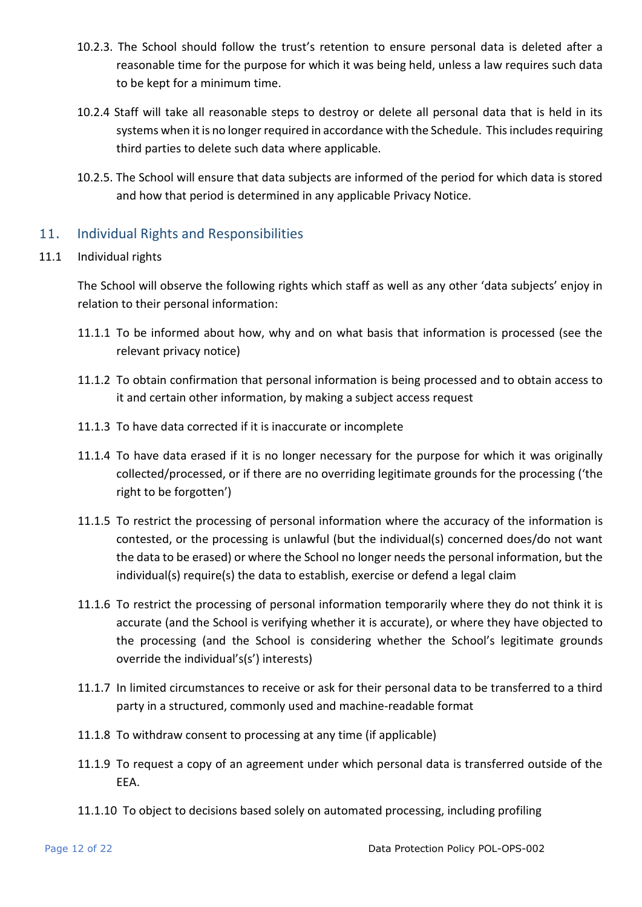- 10.2.3. The School should follow the trust's retention to ensure personal data is deleted after a reasonable time for the purpose for which it was being held, unless a law requires such data to be kept for a minimum time.
- 10.2.4 Staff will take all reasonable steps to destroy or delete all personal data that is held in its systems when it is no longer required in accordance with the Schedule. This includes requiring third parties to delete such data where applicable.
- 10.2.5. The School will ensure that data subjects are informed of the period for which data is stored and how that period is determined in any applicable Privacy Notice.

### <span id="page-11-0"></span>11. Individual Rights and Responsibilities

#### 11.1 Individual rights

The School will observe the following rights which staff as well as any other 'data subjects' enjoy in relation to their personal information:

- 11.1.1 To be informed about how, why and on what basis that information is processed (see the relevant privacy notice)
- 11.1.2 To obtain confirmation that personal information is being processed and to obtain access to it and certain other information, by making a subject access request
- 11.1.3 To have data corrected if it is inaccurate or incomplete
- 11.1.4 To have data erased if it is no longer necessary for the purpose for which it was originally collected/processed, or if there are no overriding legitimate grounds for the processing ('the right to be forgotten')
- 11.1.5 To restrict the processing of personal information where the accuracy of the information is contested, or the processing is unlawful (but the individual(s) concerned does/do not want the data to be erased) or where the School no longer needs the personal information, but the individual(s) require(s) the data to establish, exercise or defend a legal claim
- 11.1.6 To restrict the processing of personal information temporarily where they do not think it is accurate (and the School is verifying whether it is accurate), or where they have objected to the processing (and the School is considering whether the School's legitimate grounds override the individual's(s') interests)
- 11.1.7 In limited circumstances to receive or ask for their personal data to be transferred to a third party in a structured, commonly used and machine-readable format
- 11.1.8 To withdraw consent to processing at any time (if applicable)
- 11.1.9 To request a copy of an agreement under which personal data is transferred outside of the EEA.
- 11.1.10 To object to decisions based solely on automated processing, including profiling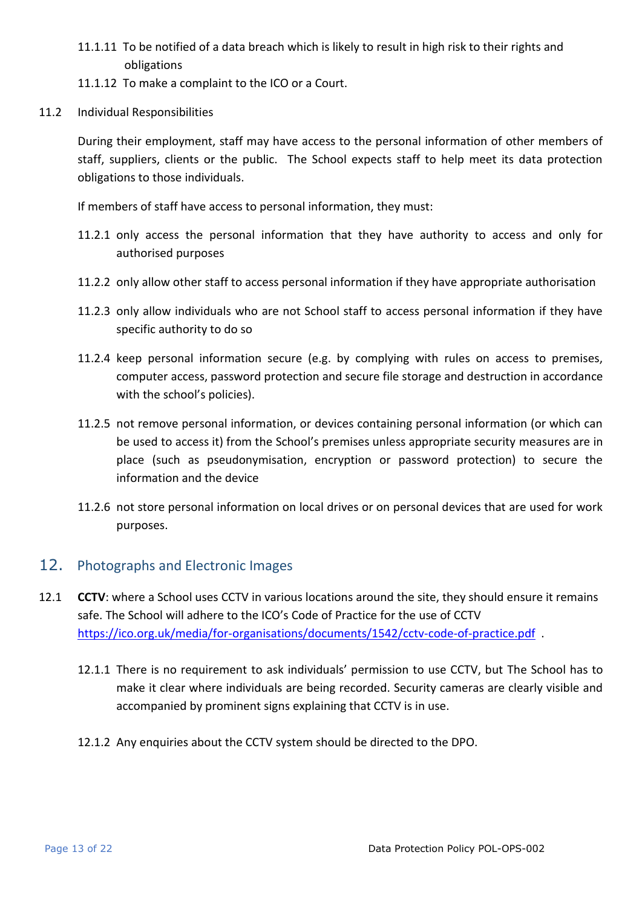- 11.1.11 To be notified of a data breach which is likely to result in high risk to their rights and obligations
- 11.1.12 To make a complaint to the ICO or a Court.
- 11.2 Individual Responsibilities

During their employment, staff may have access to the personal information of other members of staff, suppliers, clients or the public. The School expects staff to help meet its data protection obligations to those individuals.

If members of staff have access to personal information, they must:

- 11.2.1 only access the personal information that they have authority to access and only for authorised purposes
- 11.2.2 only allow other staff to access personal information if they have appropriate authorisation
- 11.2.3 only allow individuals who are not School staff to access personal information if they have specific authority to do so
- 11.2.4 keep personal information secure (e.g. by complying with rules on access to premises, computer access, password protection and secure file storage and destruction in accordance with the school's policies).
- 11.2.5 not remove personal information, or devices containing personal information (or which can be used to access it) from the School's premises unless appropriate security measures are in place (such as pseudonymisation, encryption or password protection) to secure the information and the device
- 11.2.6 not store personal information on local drives or on personal devices that are used for work purposes.

## <span id="page-12-0"></span>12. Photographs and Electronic Images

- 12.1 **CCTV**: where a School uses CCTV in various locations around the site, they should ensure it remains safe. The School will adhere to the ICO's Code of Practice for the use of CCTV https://ico.org.uk/media/for-organisations/documents/1542/cctv-code-of-practice.pdf.
	- 12.1.1 There is no requirement to ask individuals' permission to use CCTV, but The School has to make it clear where individuals are being recorded. Security cameras are clearly visible and accompanied by prominent signs explaining that CCTV is in use.
	- 12.1.2 Any enquiries about the CCTV system should be directed to the DPO.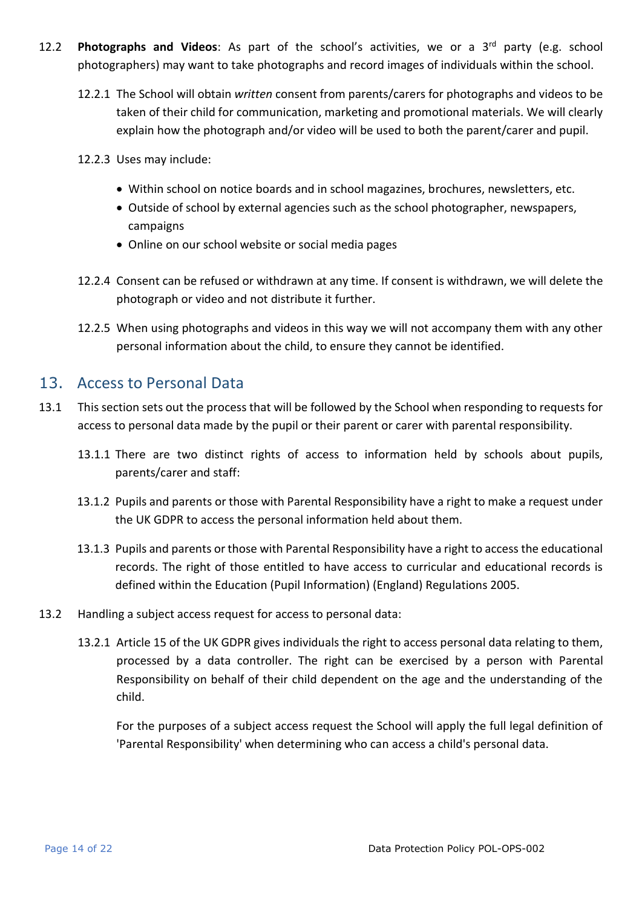- 12.2 **Photographs and Videos**: As part of the school's activities, we or a 3rd party (e.g. school photographers) may want to take photographs and record images of individuals within the school.
	- 12.2.1 The School will obtain *written* consent from parents/carers for photographs and videos to be taken of their child for communication, marketing and promotional materials. We will clearly explain how the photograph and/or video will be used to both the parent/carer and pupil.
	- 12.2.3 Uses may include:
		- Within school on notice boards and in school magazines, brochures, newsletters, etc.
		- Outside of school by external agencies such as the school photographer, newspapers, campaigns
		- Online on our school website or social media pages
	- 12.2.4 Consent can be refused or withdrawn at any time. If consent is withdrawn, we will delete the photograph or video and not distribute it further.
	- 12.2.5 When using photographs and videos in this way we will not accompany them with any other personal information about the child, to ensure they cannot be identified.

# <span id="page-13-0"></span>13. Access to Personal Data

- 13.1 This section sets out the process that will be followed by the School when responding to requests for access to personal data made by the pupil or their parent or carer with parental responsibility.
	- 13.1.1 There are two distinct rights of access to information held by schools about pupils, parents/carer and staff:
	- 13.1.2 Pupils and parents or those with Parental Responsibility have a right to make a request under the UK GDPR to access the personal information held about them.
	- 13.1.3 Pupils and parents or those with Parental Responsibility have a right to access the educational records. The right of those entitled to have access to curricular and educational records is defined within the Education (Pupil Information) (England) Regulations 2005.
- 13.2 Handling a subject access request for access to personal data:
	- 13.2.1 Article 15 of the UK GDPR gives individuals the right to access personal data relating to them, processed by a data controller. The right can be exercised by a person with Parental Responsibility on behalf of their child dependent on the age and the understanding of the child.

For the purposes of a subject access request the School will apply the full legal definition of 'Parental Responsibility' when determining who can access a child's personal data.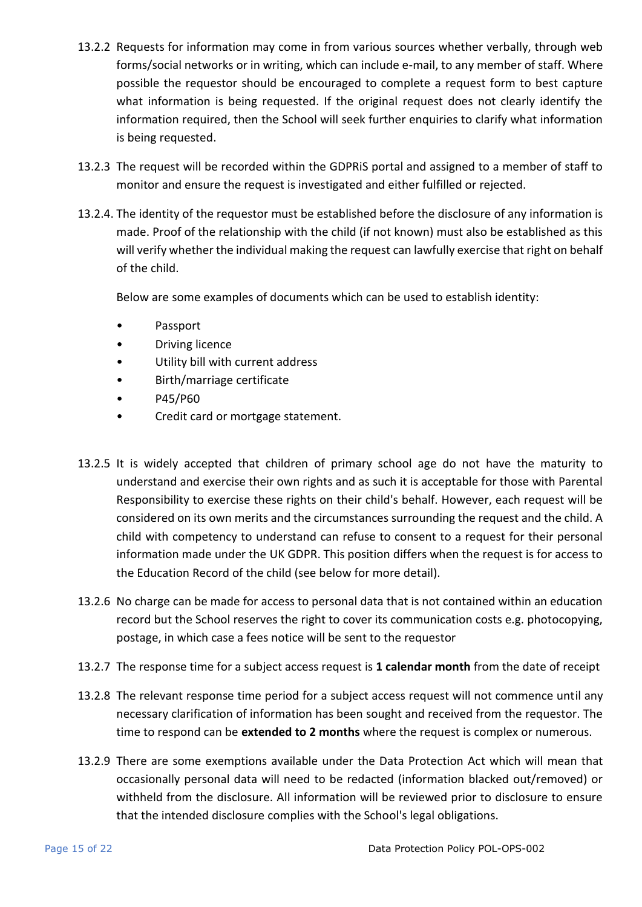- 13.2.2 Requests for information may come in from various sources whether verbally, through web forms/social networks or in writing, which can include e-mail, to any member of staff. Where possible the requestor should be encouraged to complete a request form to best capture what information is being requested. If the original request does not clearly identify the information required, then the School will seek further enquiries to clarify what information is being requested.
- 13.2.3 The request will be recorded within the GDPRiS portal and assigned to a member of staff to monitor and ensure the request is investigated and either fulfilled or rejected.
- 13.2.4. The identity of the requestor must be established before the disclosure of any information is made. Proof of the relationship with the child (if not known) must also be established as this will verify whether the individual making the request can lawfully exercise that right on behalf of the child.

Below are some examples of documents which can be used to establish identity:

- Passport
- Driving licence
- Utility bill with current address
- Birth/marriage certificate
- P45/P60
- Credit card or mortgage statement.
- 13.2.5 It is widely accepted that children of primary school age do not have the maturity to understand and exercise their own rights and as such it is acceptable for those with Parental Responsibility to exercise these rights on their child's behalf. However, each request will be considered on its own merits and the circumstances surrounding the request and the child. A child with competency to understand can refuse to consent to a request for their personal information made under the UK GDPR. This position differs when the request is for access to the Education Record of the child (see below for more detail).
- 13.2.6 No charge can be made for access to personal data that is not contained within an education record but the School reserves the right to cover its communication costs e.g. photocopying, postage, in which case a fees notice will be sent to the requestor
- 13.2.7 The response time for a subject access request is **1 calendar month** from the date of receipt
- 13.2.8 The relevant response time period for a subject access request will not commence until any necessary clarification of information has been sought and received from the requestor. The time to respond can be **extended to 2 months** where the request is complex or numerous.
- 13.2.9 There are some exemptions available under the Data Protection Act which will mean that occasionally personal data will need to be redacted (information blacked out/removed) or withheld from the disclosure. All information will be reviewed prior to disclosure to ensure that the intended disclosure complies with the School's legal obligations.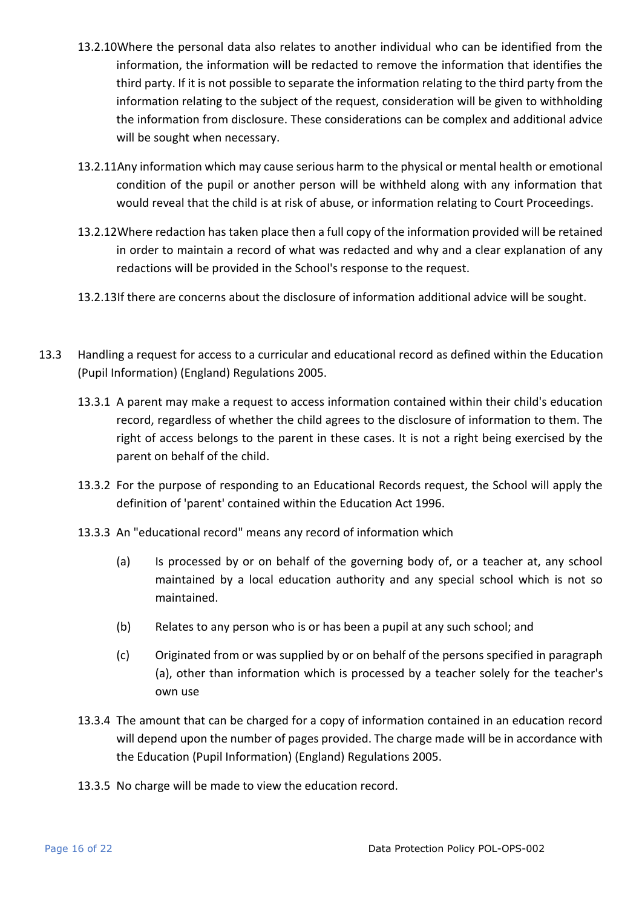- 13.2.10Where the personal data also relates to another individual who can be identified from the information, the information will be redacted to remove the information that identifies the third party. If it is not possible to separate the information relating to the third party from the information relating to the subject of the request, consideration will be given to withholding the information from disclosure. These considerations can be complex and additional advice will be sought when necessary.
- 13.2.11Any information which may cause serious harm to the physical or mental health or emotional condition of the pupil or another person will be withheld along with any information that would reveal that the child is at risk of abuse, or information relating to Court Proceedings.
- 13.2.12Where redaction has taken place then a full copy of the information provided will be retained in order to maintain a record of what was redacted and why and a clear explanation of any redactions will be provided in the School's response to the request.
- 13.2.13If there are concerns about the disclosure of information additional advice will be sought.
- 13.3 Handling a request for access to a curricular and educational record as defined within the Education (Pupil Information) (England) Regulations 2005.
	- 13.3.1 A parent may make a request to access information contained within their child's education record, regardless of whether the child agrees to the disclosure of information to them. The right of access belongs to the parent in these cases. It is not a right being exercised by the parent on behalf of the child.
	- 13.3.2 For the purpose of responding to an Educational Records request, the School will apply the definition of 'parent' contained within the Education Act 1996.
	- 13.3.3 An "educational record" means any record of information which
		- (a) Is processed by or on behalf of the governing body of, or a teacher at, any school maintained by a local education authority and any special school which is not so maintained.
		- (b) Relates to any person who is or has been a pupil at any such school; and
		- (c) Originated from or was supplied by or on behalf of the persons specified in paragraph (a), other than information which is processed by a teacher solely for the teacher's own use
	- 13.3.4 The amount that can be charged for a copy of information contained in an education record will depend upon the number of pages provided. The charge made will be in accordance with the Education (Pupil Information) (England) Regulations 2005.
	- 13.3.5 No charge will be made to view the education record.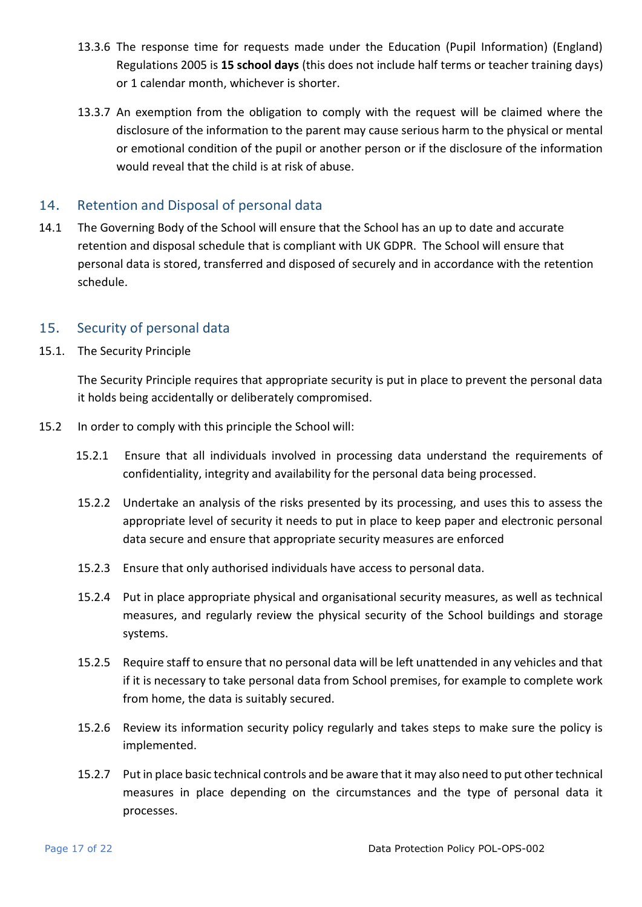- 13.3.6 The response time for requests made under the Education (Pupil Information) (England) Regulations 2005 is **15 school days** (this does not include half terms or teacher training days) or 1 calendar month, whichever is shorter.
- 13.3.7 An exemption from the obligation to comply with the request will be claimed where the disclosure of the information to the parent may cause serious harm to the physical or mental or emotional condition of the pupil or another person or if the disclosure of the information would reveal that the child is at risk of abuse.

### <span id="page-16-0"></span>14. Retention and Disposal of personal data

14.1 The Governing Body of the School will ensure that the School has an up to date and accurate retention and disposal schedule that is compliant with UK GDPR. The School will ensure that personal data is stored, transferred and disposed of securely and in accordance with the retention schedule.

### <span id="page-16-1"></span>15. Security of personal data

15.1. The Security Principle

The Security Principle requires that appropriate security is put in place to prevent the personal data it holds being accidentally or deliberately compromised.

- 15.2 In order to comply with this principle the School will:
	- 15.2.1 Ensure that all individuals involved in processing data understand the requirements of confidentiality, integrity and availability for the personal data being processed.
	- 15.2.2 Undertake an analysis of the risks presented by its processing, and uses this to assess the appropriate level of security it needs to put in place to keep paper and electronic personal data secure and ensure that appropriate security measures are enforced
	- 15.2.3 Ensure that only authorised individuals have access to personal data.
	- 15.2.4 Put in place appropriate physical and organisational security measures, as well as technical measures, and regularly review the physical security of the School buildings and storage systems.
	- 15.2.5 Require staff to ensure that no personal data will be left unattended in any vehicles and that if it is necessary to take personal data from School premises, for example to complete work from home, the data is suitably secured.
	- 15.2.6 Review its information security policy regularly and takes steps to make sure the policy is implemented.
	- 15.2.7 Put in place basic technical controls and be aware that it may also need to put other technical measures in place depending on the circumstances and the type of personal data it processes.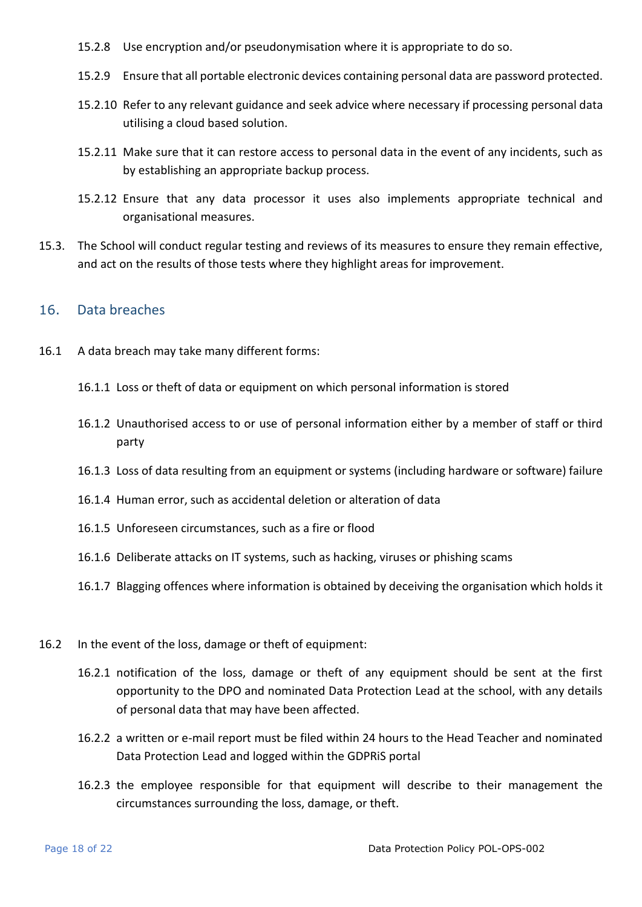- 15.2.8 Use encryption and/or pseudonymisation where it is appropriate to do so.
- 15.2.9 Ensure that all portable electronic devices containing personal data are password protected.
- 15.2.10 Refer to any relevant guidance and seek advice where necessary if processing personal data utilising a cloud based solution.
- 15.2.11 Make sure that it can restore access to personal data in the event of any incidents, such as by establishing an appropriate backup process.
- 15.2.12 Ensure that any data processor it uses also implements appropriate technical and organisational measures.
- 15.3. The School will conduct regular testing and reviews of its measures to ensure they remain effective, and act on the results of those tests where they highlight areas for improvement.

#### <span id="page-17-0"></span>16. Data breaches

- 16.1 A data breach may take many different forms:
	- 16.1.1 Loss or theft of data or equipment on which personal information is stored
	- 16.1.2 Unauthorised access to or use of personal information either by a member of staff or third party
	- 16.1.3 Loss of data resulting from an equipment or systems (including hardware or software) failure
	- 16.1.4 Human error, such as accidental deletion or alteration of data
	- 16.1.5 Unforeseen circumstances, such as a fire or flood
	- 16.1.6 Deliberate attacks on IT systems, such as hacking, viruses or phishing scams
	- 16.1.7 Blagging offences where information is obtained by deceiving the organisation which holds it
- 16.2 In the event of the loss, damage or theft of equipment:
	- 16.2.1 notification of the loss, damage or theft of any equipment should be sent at the first opportunity to the DPO and nominated Data Protection Lead at the school, with any details of personal data that may have been affected.
	- 16.2.2 a written or e-mail report must be filed within 24 hours to the Head Teacher and nominated Data Protection Lead and logged within the GDPRiS portal
	- 16.2.3 the employee responsible for that equipment will describe to their management the circumstances surrounding the loss, damage, or theft.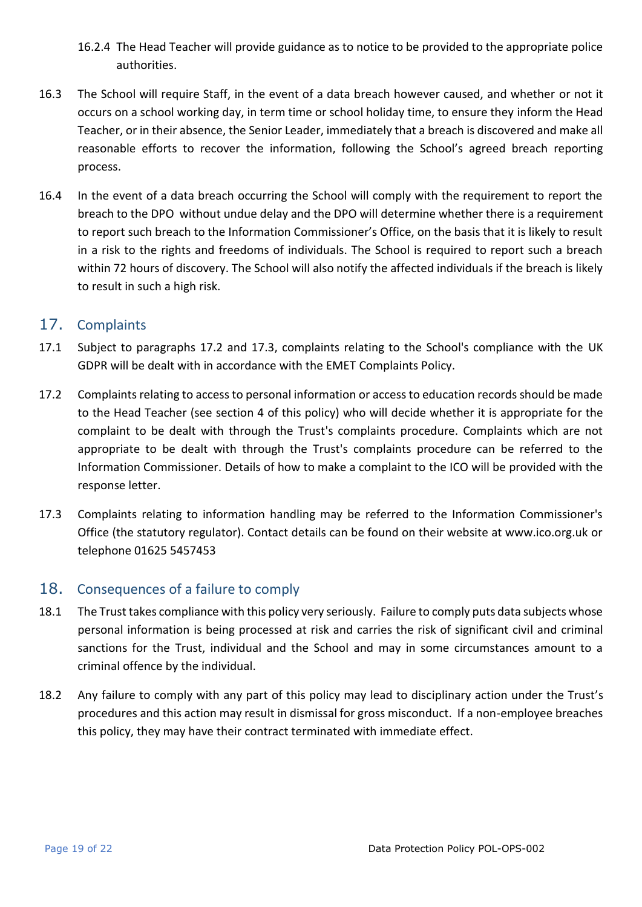- 16.2.4 The Head Teacher will provide guidance as to notice to be provided to the appropriate police authorities.
- 16.3 The School will require Staff, in the event of a data breach however caused, and whether or not it occurs on a school working day, in term time or school holiday time, to ensure they inform the Head Teacher, or in their absence, the Senior Leader, immediately that a breach is discovered and make all reasonable efforts to recover the information, following the School's agreed breach reporting process.
- 16.4 In the event of a data breach occurring the School will comply with the requirement to report the breach to the DPO without undue delay and the DPO will determine whether there is a requirement to report such breach to the Information Commissioner's Office, on the basis that it is likely to result in a risk to the rights and freedoms of individuals. The School is required to report such a breach within 72 hours of discovery. The School will also notify the affected individuals if the breach is likely to result in such a high risk.

## <span id="page-18-0"></span>17. Complaints

- 17.1 Subject to paragraphs 17.2 and 17.3, complaints relating to the School's compliance with the UK GDPR will be dealt with in accordance with the EMET Complaints Policy.
- 17.2 Complaints relating to access to personal information or access to education records should be made to the Head Teacher (see section 4 of this policy) who will decide whether it is appropriate for the complaint to be dealt with through the Trust's complaints procedure. Complaints which are not appropriate to be dealt with through the Trust's complaints procedure can be referred to the Information Commissioner. Details of how to make a complaint to the ICO will be provided with the response letter.
- 17.3 Complaints relating to information handling may be referred to the Information Commissioner's Office (the statutory regulator). Contact details can be found on their website at www.ico.org.uk or telephone 01625 5457453

# <span id="page-18-1"></span>18. Consequences of a failure to comply

- 18.1 The Trust takes compliance with this policy very seriously. Failure to comply puts data subjects whose personal information is being processed at risk and carries the risk of significant civil and criminal sanctions for the Trust, individual and the School and may in some circumstances amount to a criminal offence by the individual.
- 18.2 Any failure to comply with any part of this policy may lead to disciplinary action under the Trust's procedures and this action may result in dismissal for gross misconduct. If a non-employee breaches this policy, they may have their contract terminated with immediate effect.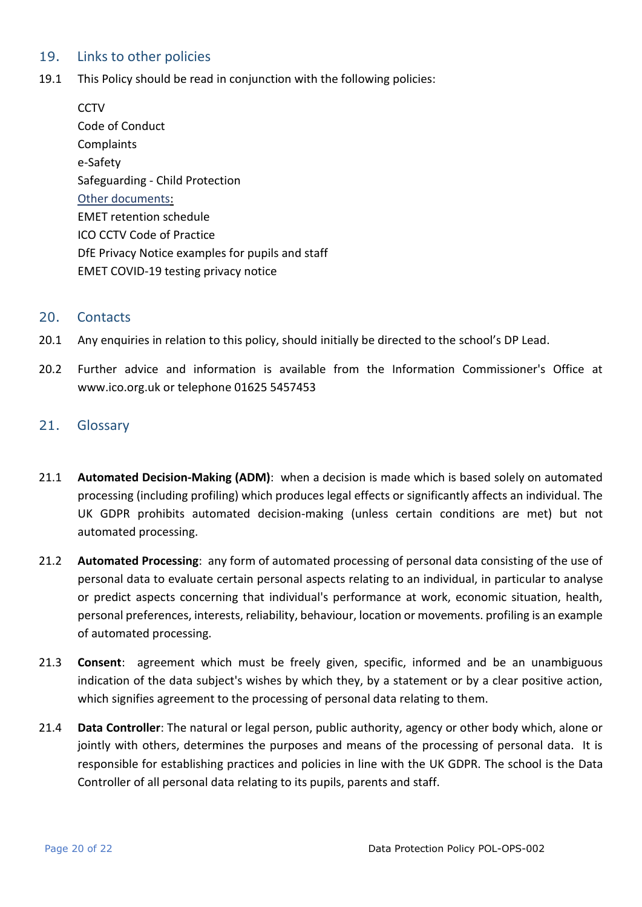### <span id="page-19-0"></span>19. Links to other policies

19.1 This Policy should be read in conjunction with the following policies:

**CCTV** Code of Conduct **Complaints** e-Safety Safeguarding - Child Protection Other documents: EMET retention schedule ICO CCTV Code of Practice DfE Privacy Notice examples for pupils and staff EMET COVID-19 testing privacy notice

#### <span id="page-19-1"></span>20. Contacts

- 20.1 Any enquiries in relation to this policy, should initially be directed to the school's DP Lead.
- 20.2 Further advice and information is available from the Information Commissioner's Office at www.ico.org.uk or telephone 01625 5457453

### 21. Glossary

- 21.1 **Automated Decision-Making (ADM)**: when a decision is made which is based solely on automated processing (including profiling) which produces legal effects or significantly affects an individual. The UK GDPR prohibits automated decision-making (unless certain conditions are met) but not automated processing.
- 21.2 **Automated Processing**: any form of automated processing of personal data consisting of the use of personal data to evaluate certain personal aspects relating to an individual, in particular to analyse or predict aspects concerning that individual's performance at work, economic situation, health, personal preferences, interests, reliability, behaviour, location or movements. profiling is an example of automated processing.
- 21.3 **Consent**: agreement which must be freely given, specific, informed and be an unambiguous indication of the data subject's wishes by which they, by a statement or by a clear positive action, which signifies agreement to the processing of personal data relating to them.
- 21.4 **Data Controller**: The natural or legal person, public authority, agency or other body which, alone or jointly with others, determines the purposes and means of the processing of personal data. It is responsible for establishing practices and policies in line with the UK GDPR. The school is the Data Controller of all personal data relating to its pupils, parents and staff.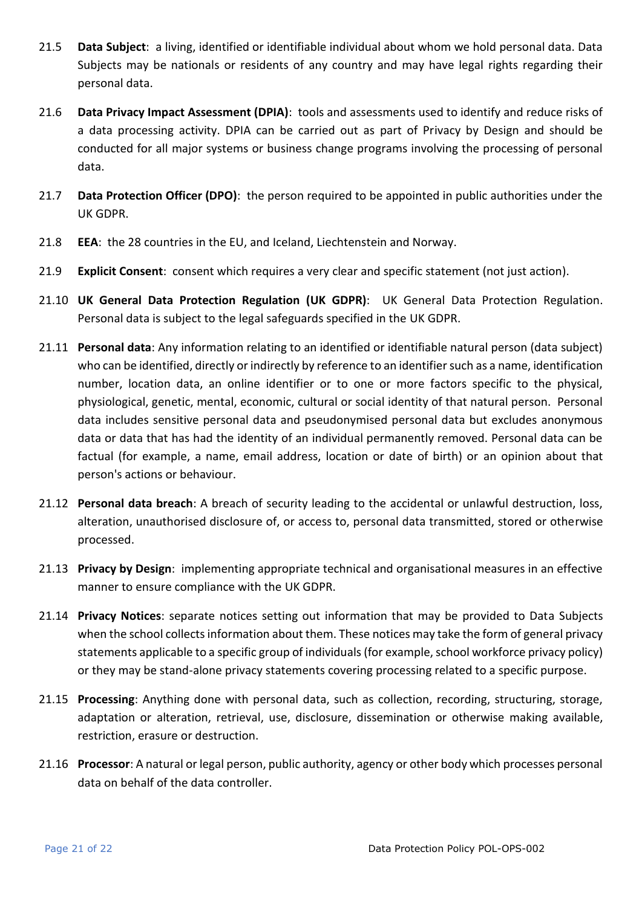- 21.5 **Data Subject**: a living, identified or identifiable individual about whom we hold personal data. Data Subjects may be nationals or residents of any country and may have legal rights regarding their personal data.
- 21.6 **Data Privacy Impact Assessment (DPIA)**: tools and assessments used to identify and reduce risks of a data processing activity. DPIA can be carried out as part of Privacy by Design and should be conducted for all major systems or business change programs involving the processing of personal data.
- 21.7 **Data Protection Officer (DPO)**: the person required to be appointed in public authorities under the UK GDPR.
- 21.8 **EEA**: the 28 countries in the EU, and Iceland, Liechtenstein and Norway.
- 21.9 **Explicit Consent**: consent which requires a very clear and specific statement (not just action).
- 21.10 **UK General Data Protection Regulation (UK GDPR)**: UK General Data Protection Regulation. Personal data is subject to the legal safeguards specified in the UK GDPR.
- 21.11 **Personal data**: Any information relating to an identified or identifiable natural person (data subject) who can be identified, directly or indirectly by reference to an identifier such as a name, identification number, location data, an online identifier or to one or more factors specific to the physical, physiological, genetic, mental, economic, cultural or social identity of that natural person. Personal data includes sensitive personal data and pseudonymised personal data but excludes anonymous data or data that has had the identity of an individual permanently removed. Personal data can be factual (for example, a name, email address, location or date of birth) or an opinion about that person's actions or behaviour.
- 21.12 **Personal data breach**: A breach of security leading to the accidental or unlawful destruction, loss, alteration, unauthorised disclosure of, or access to, personal data transmitted, stored or otherwise processed.
- 21.13 **Privacy by Design**: implementing appropriate technical and organisational measures in an effective manner to ensure compliance with the UK GDPR.
- 21.14 **Privacy Notices**: separate notices setting out information that may be provided to Data Subjects when the school collects information about them. These notices may take the form of general privacy statements applicable to a specific group of individuals (for example, school workforce privacy policy) or they may be stand-alone privacy statements covering processing related to a specific purpose.
- 21.15 **Processing**: Anything done with personal data, such as collection, recording, structuring, storage, adaptation or alteration, retrieval, use, disclosure, dissemination or otherwise making available, restriction, erasure or destruction.
- 21.16 **Processor**: A natural or legal person, public authority, agency or other body which processes personal data on behalf of the data controller.